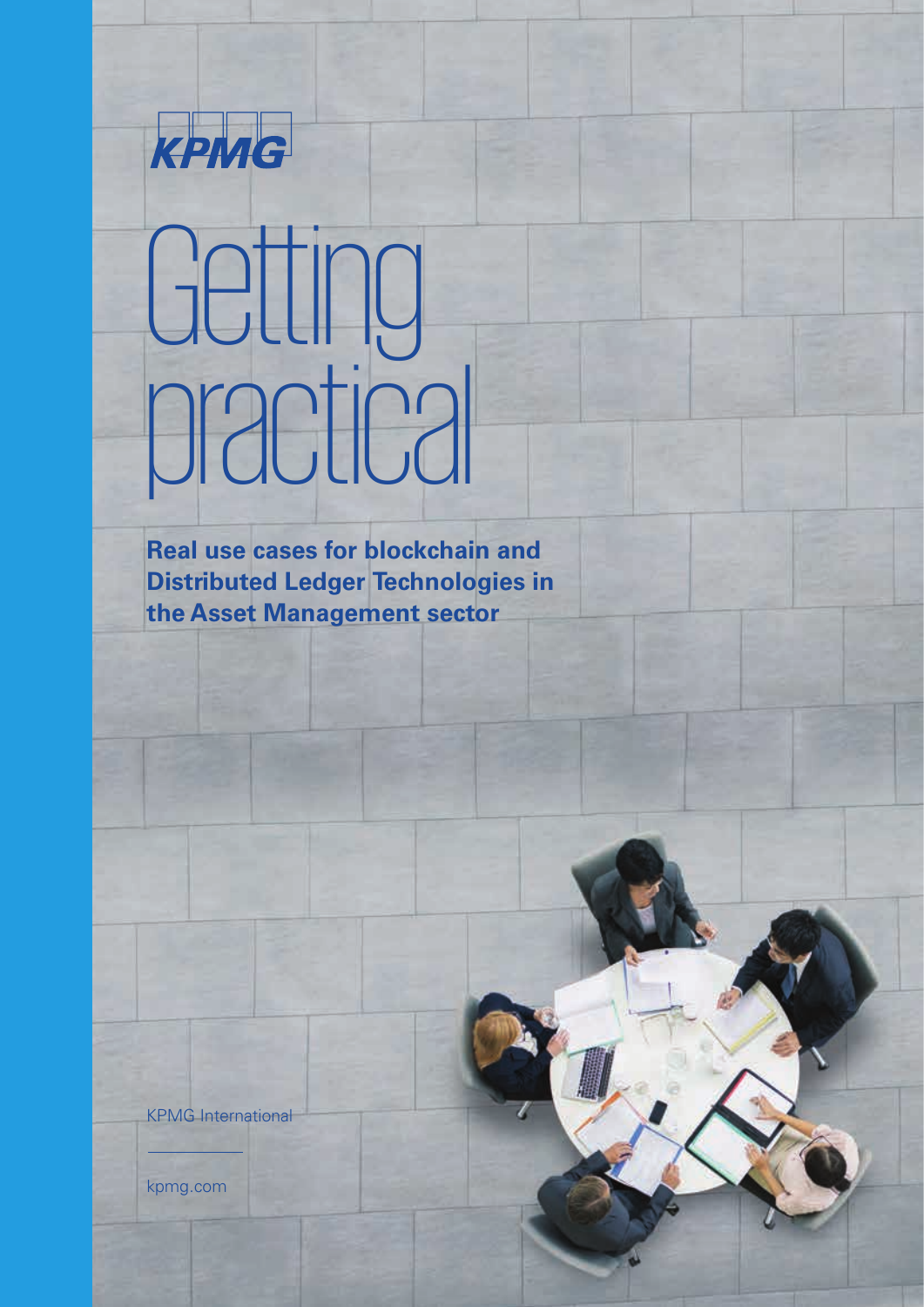

# **Getting** practical

**Real use cases for blockchain and Distributed Ledger Technologies in the Asset Management sector** 

KPMG International

[kpmg.com](www.kpmg.com)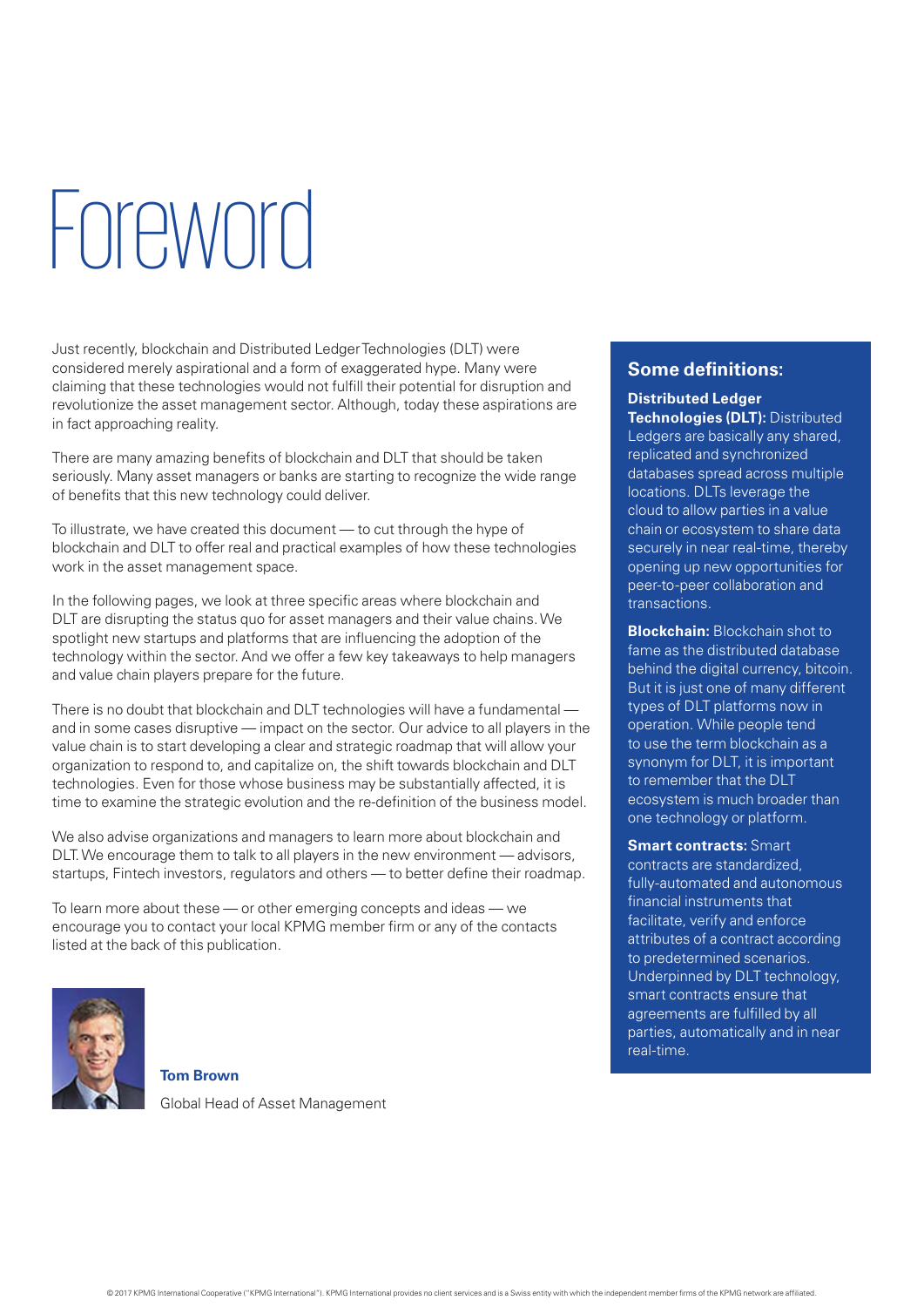# Foreword

Just recently, blockchain and Distributed Ledger Technologies (DLT) were considered merely aspirational and a form of exaggerated hype. Many were claiming that these technologies would not fulfill their potential for disruption and revolutionize the asset management sector. Although, today these aspirations are in fact approaching reality.

There are many amazing benefits of blockchain and DLT that should be taken seriously. Many asset managers or banks are starting to recognize the wide range of benefits that this new technology could deliver.

To illustrate, we have created this document — to cut through the hype of blockchain and DLT to offer real and practical examples of how these technologies work in the asset management space.

In the following pages, we look at three specific areas where blockchain and DLT are disrupting the status quo for asset managers and their value chains. We spotlight new startups and platforms that are influencing the adoption of the technology within the sector. And we offer a few key takeaways to help managers and value chain players prepare for the future.

There is no doubt that blockchain and DLT technologies will have a fundamental and in some cases disruptive — impact on the sector. Our advice to all players in the value chain is to start developing a clear and strategic roadmap that will allow your organization to respond to, and capitalize on, the shift towards blockchain and DLT technologies. Even for those whose business may be substantially affected, it is time to examine the strategic evolution and the re-definition of the business model.

We also advise organizations and managers to learn more about blockchain and DLT. We encourage them to talk to all players in the new environment — advisors, startups, Fintech investors, regulators and others — to better define their roadmap.

To learn more about these — or other emerging concepts and ideas — we encourage you to contact your local KPMG member firm or any of the contacts listed at the back of this publication.



**Tom Brown** Global Head of Asset Management

### **Some definitions:**

#### **Distributed Ledger**

**Technologies (DLT):** Distributed Ledgers are basically any shared, replicated and synchronized databases spread across multiple locations. DLTs leverage the cloud to allow parties in a value chain or ecosystem to share data securely in near real-time, thereby opening up new opportunities for peer-to-peer collaboration and transactions.

**Blockchain:** Blockchain shot to fame as the distributed database behind the digital currency, bitcoin. But it is just one of many different types of DLT platforms now in operation. While people tend to use the term blockchain as a synonym for DLT, it is important to remember that the DLT ecosystem is much broader than one technology or platform.

#### **Smart contracts:** Smart

contracts are standardized, fully-automated and autonomous financial instruments that facilitate, verify and enforce attributes of a contract according to predetermined scenarios. Underpinned by DLT technology, smart contracts ensure that agreements are fulfilled by all parties, automatically and in near real-time.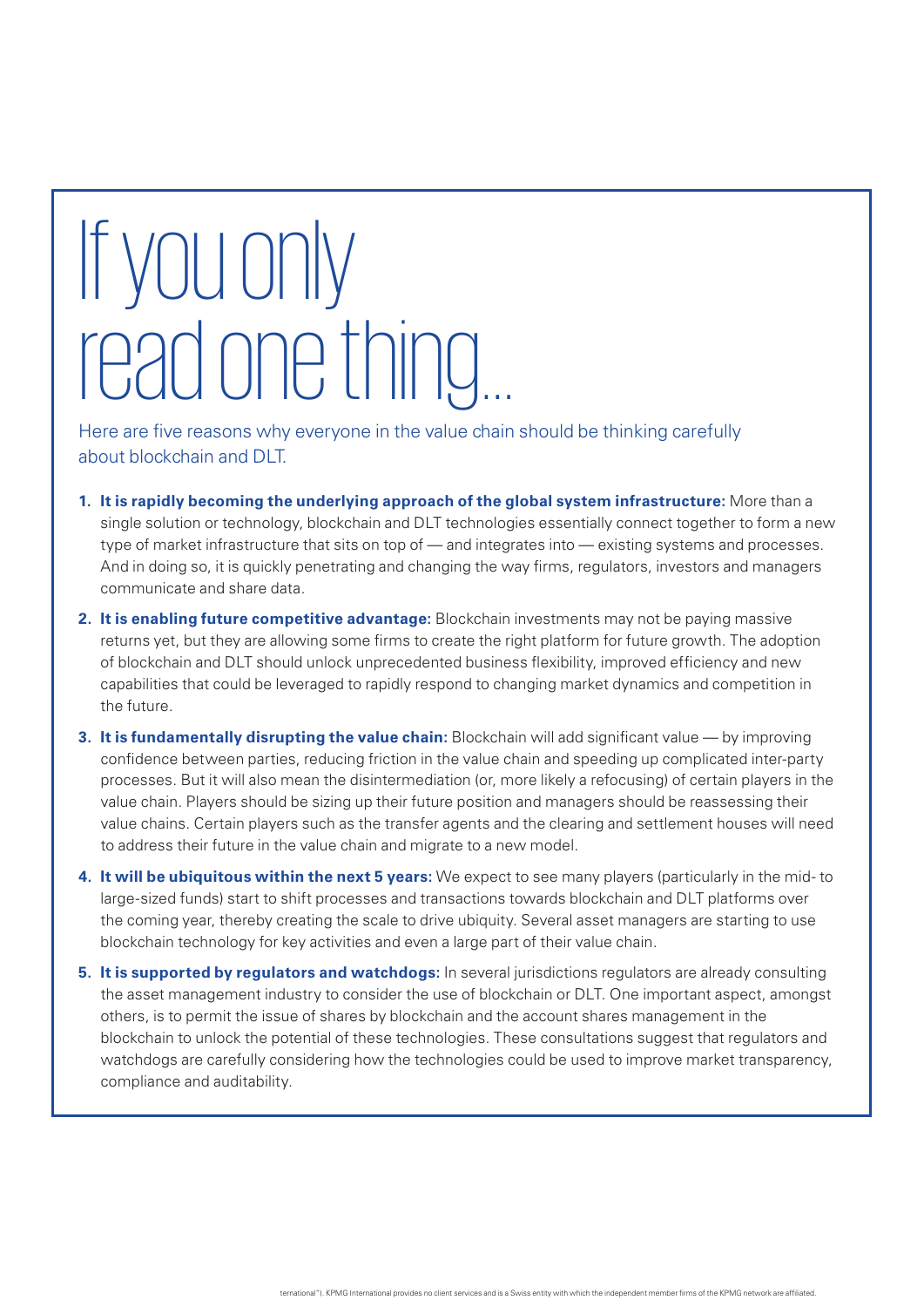# If you only read one thing…

Here are five reasons why everyone in the value chain should be thinking carefully about blockchain and DLT.

- **1. It is rapidly becoming the underlying approach of the global system infrastructure:** More than a single solution or technology, blockchain and DLT technologies essentially connect together to form a new type of market infrastructure that sits on top of — and integrates into — existing systems and processes. And in doing so, it is quickly penetrating and changing the way firms, regulators, investors and managers communicate and share data.
- **2. It is enabling future competitive advantage:** Blockchain investments may not be paying massive returns yet, but they are allowing some firms to create the right platform for future growth. The adoption of blockchain and DLT should unlock unprecedented business flexibility, improved efficiency and new capabilities that could be leveraged to rapidly respond to changing market dynamics and competition in the future.
- **3. It is fundamentally disrupting the value chain:** Blockchain will add significant value by improving confidence between parties, reducing friction in the value chain and speeding up complicated inter-party processes. But it will also mean the disintermediation (or, more likely a refocusing) of certain players in the value chain. Players should be sizing up their future position and managers should be reassessing their value chains. Certain players such as the transfer agents and the clearing and settlement houses will need to address their future in the value chain and migrate to a new model.
- **4. It will be ubiquitous within the next 5 years:** We expect to see many players (particularly in the mid- to large-sized funds) start to shift processes and transactions towards blockchain and DLT platforms over the coming year, thereby creating the scale to drive ubiquity. Several asset managers are starting to use blockchain technology for key activities and even a large part of their value chain.
- **5. It is supported by regulators and watchdogs:** In several jurisdictions regulators are already consulting the asset management industry to consider the use of blockchain or DLT. One important aspect, amongst others, is to permit the issue of shares by blockchain and the account shares management in the blockchain to unlock the potential of these technologies. These consultations suggest that regulators and watchdogs are carefully considering how the technologies could be used to improve market transparency, compliance and auditability.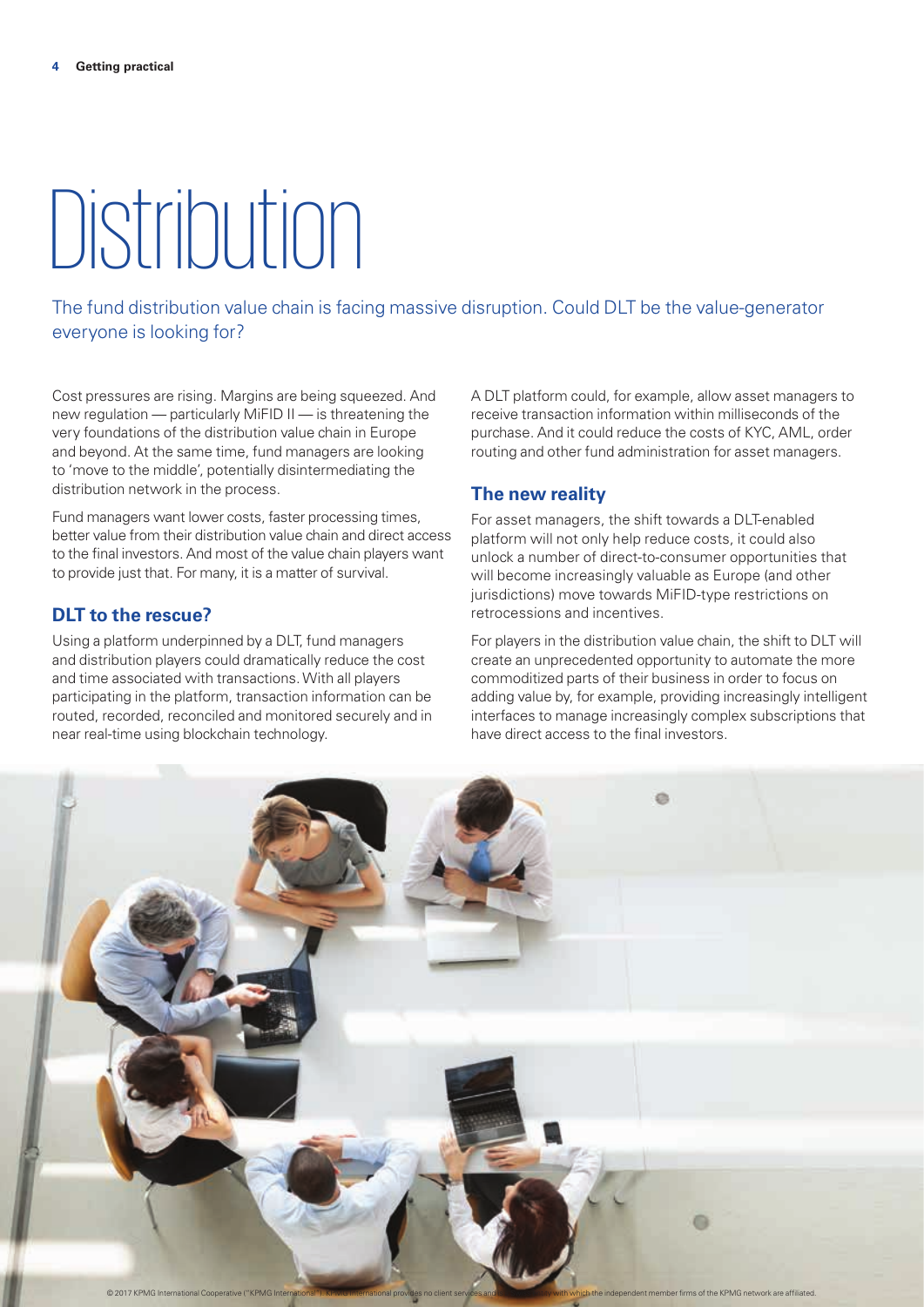# Distribution

The fund distribution value chain is facing massive disruption. Could DLT be the value-generator everyone is looking for?

Cost pressures are rising. Margins are being squeezed. And new regulation — particularly MiFID II — is threatening the very foundations of the distribution value chain in Europe and beyond. At the same time, fund managers are looking to 'move to the middle', potentially disintermediating the distribution network in the process.

Fund managers want lower costs, faster processing times, better value from their distribution value chain and direct access to the final investors. And most of the value chain players want to provide just that. For many, it is a matter of survival.

#### **DLT to the rescue?**

Using a platform underpinned by a DLT, fund managers and distribution players could dramatically reduce the cost and time associated with transactions. With all players participating in the platform, transaction information can be routed, recorded, reconciled and monitored securely and in near real-time using blockchain technology.

A DLT platform could, for example, allow asset managers to receive transaction information within milliseconds of the purchase. And it could reduce the costs of KYC, AML, order routing and other fund administration for asset managers.

#### **The new reality**

For asset managers, the shift towards a DLT-enabled platform will not only help reduce costs, it could also unlock a number of direct-to-consumer opportunities that will become increasingly valuable as Europe (and other jurisdictions) move towards MiFID-type restrictions on retrocessions and incentives.

For players in the distribution value chain, the shift to DLT will create an unprecedented opportunity to automate the more commoditized parts of their business in order to focus on adding value by, for example, providing increasingly intelligent interfaces to manage increasingly complex subscriptions that have direct access to the final investors.

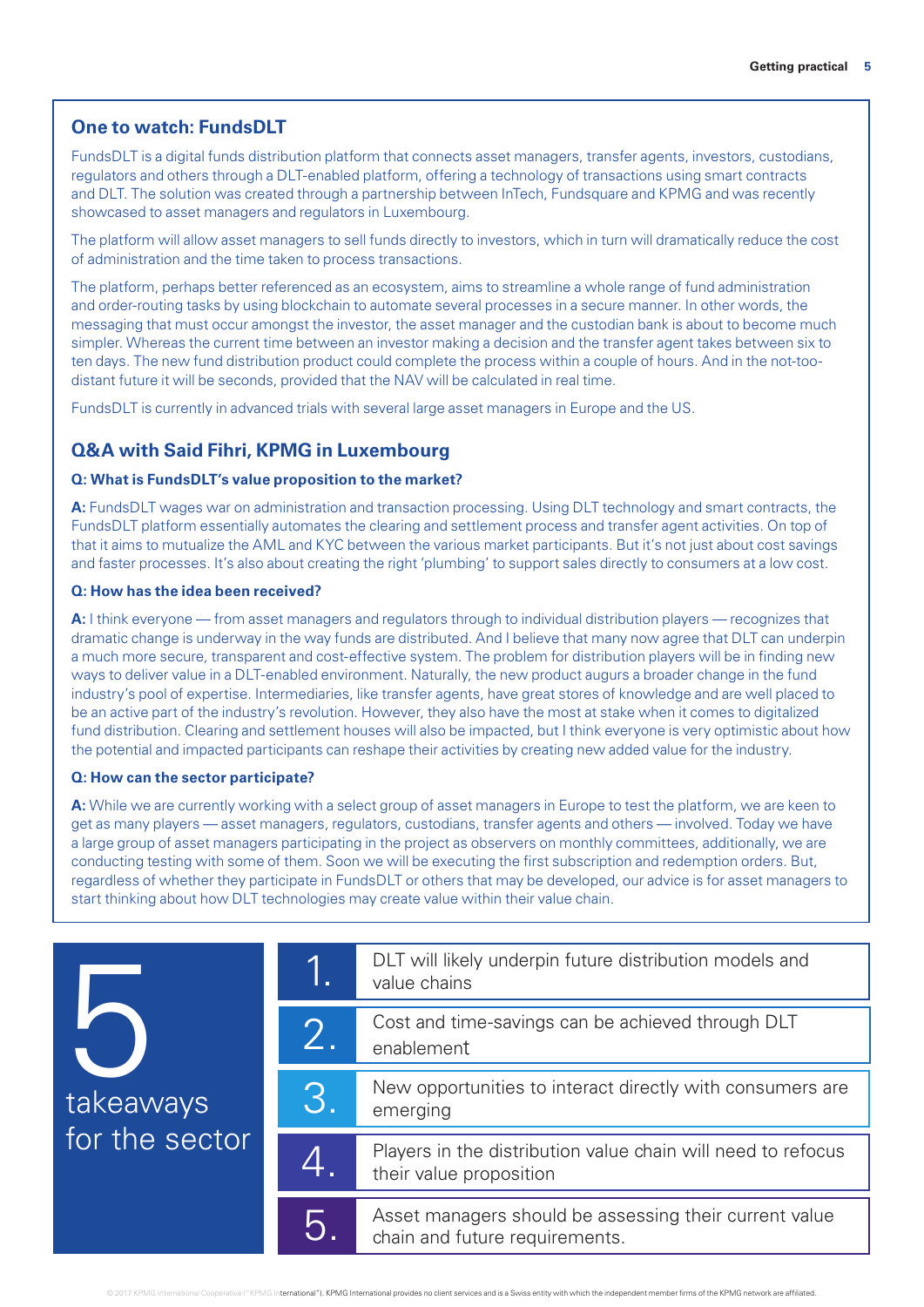## **One to watch: FundsDLT**

FundsDLT is a digital funds distribution platform that connects asset managers, transfer agents, investors, custodians, regulators and others through a DLT-enabled platform, offering a technology of transactions using smart contracts and DLT. The solution was created through a partnership between InTech, Fundsquare and KPMG and was recently showcased to asset managers and regulators in Luxembourg.

The platform will allow asset managers to sell funds directly to investors, which in turn will dramatically reduce the cost of administration and the time taken to process transactions.

The platform, perhaps better referenced as an ecosystem, aims to streamline a whole range of fund administration and order-routing tasks by using blockchain to automate several processes in a secure manner. In other words, the messaging that must occur amongst the investor, the asset manager and the custodian bank is about to become much simpler. Whereas the current time between an investor making a decision and the transfer agent takes between six to ten days. The new fund distribution product could complete the process within a couple of hours. And in the not-toodistant future it will be seconds, provided that the NAV will be calculated in real time.

FundsDLT is currently in advanced trials with several large asset managers in Europe and the US.

## **Q&A with Said Fihri, KPMG in Luxembourg**

#### **Q: What is FundsDLT's value proposition to the market?**

**A:** FundsDLT wages war on administration and transaction processing. Using DLT technology and smart contracts, the FundsDLT platform essentially automates the clearing and settlement process and transfer agent activities. On top of that it aims to mutualize the AML and KYC between the various market participants. But it's not just about cost savings and faster processes. It's also about creating the right 'plumbing' to support sales directly to consumers at a low cost.

#### **Q: How has the idea been received?**

**A:** I think everyone — from asset managers and regulators through to individual distribution players — recognizes that dramatic change is underway in the way funds are distributed. And I believe that many now agree that DLT can underpin a much more secure, transparent and cost-effective system. The problem for distribution players will be in finding new ways to deliver value in a DLT-enabled environment. Naturally, the new product augurs a broader change in the fund industry's pool of expertise. Intermediaries, like transfer agents, have great stores of knowledge and are well placed to be an active part of the industry's revolution. However, they also have the most at stake when it comes to digitalized fund distribution. Clearing and settlement houses will also be impacted, but I think everyone is very optimistic about how the potential and impacted participants can reshape their activities by creating new added value for the industry.

#### **Q: How can the sector participate?**

**A:** While we are currently working with a select group of asset managers in Europe to test the platform, we are keen to get as many players — asset managers, regulators, custodians, transfer agents and others — involved. Today we have a large group of asset managers participating in the project as observers on monthly committees, additionally, we are conducting testing with some of them. Soon we will be executing the first subscription and redemption orders. But, regardless of whether they participate in FundsDLT or others that may be developed, our advice is for asset managers to start thinking about how DLT technologies may create value within their value chain.

| takeaways |                |  |
|-----------|----------------|--|
|           | for the sector |  |

|                            | DLT will likely underpin future distribution models and<br>value chains                  |
|----------------------------|------------------------------------------------------------------------------------------|
| $\mathcal{V}^{\mathsf{I}}$ | Cost and time-savings can be achieved through DLT<br>enablement                          |
| $\mathcal{S}$              | New opportunities to interact directly with consumers are<br>emerging                    |
|                            | Players in the distribution value chain will need to refocus<br>their value proposition  |
|                            | Asset managers should be assessing their current value<br>chain and future requirements. |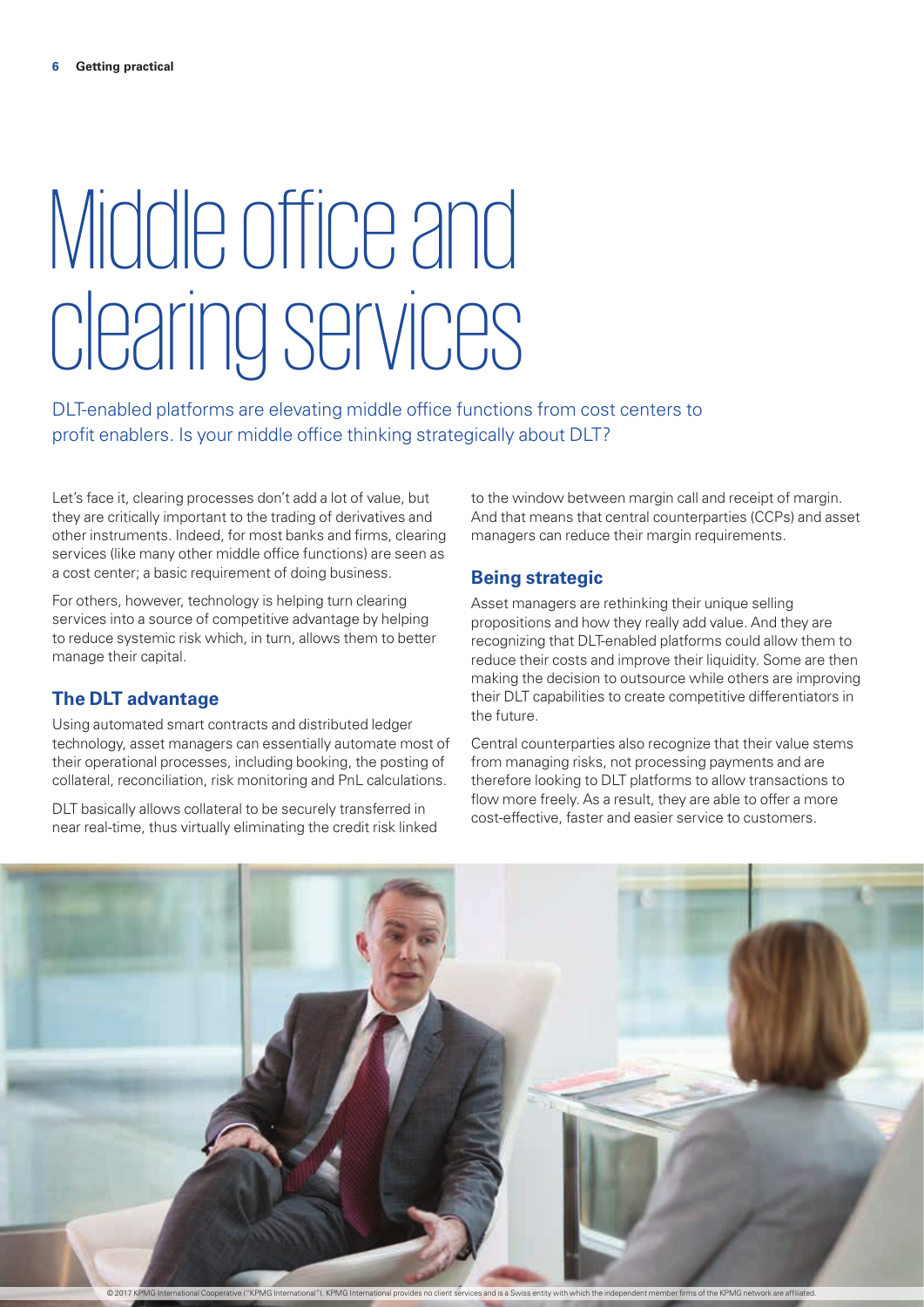# Middle office and clearing services

DLT-enabled platforms are elevating middle office functions from cost centers to profit enablers. Is your middle office thinking strategically about DLT?

Let's face it, clearing processes don't add a lot of value, but they are critically important to the trading of derivatives and other instruments. Indeed, for most banks and firms, clearing services (like many other middle office functions) are seen as a cost center; a basic requirement of doing business.

For others, however, technology is helping turn clearing services into a source of competitive advantage by helping to reduce systemic risk which, in turn, allows them to better manage their capital.

# **The DLT advantage**

Using automated smart contracts and distributed ledger technology, asset managers can essentially automate most of their operational processes, including booking, the posting of collateral, reconciliation, risk monitoring and PnL calculations.

DLT basically allows collateral to be securely transferred in near real-time, thus virtually eliminating the credit risk linked to the window between margin call and receipt of margin. And that means that central counterparties (CCPs) and asset managers can reduce their margin requirements.

# **Being strategic**

Asset managers are rethinking their unique selling propositions and how they really add value. And they are recognizing that DLT-enabled platforms could allow them to reduce their costs and improve their liquidity. Some are then making the decision to outsource while others are improving their DLT capabilities to create competitive differentiators in the future.

Central counterparties also recognize that their value stems from managing risks, not processing payments and are therefore looking to DLT platforms to allow transactions to flow more freely. As a result, they are able to offer a more cost-effective, faster and easier service to customers.

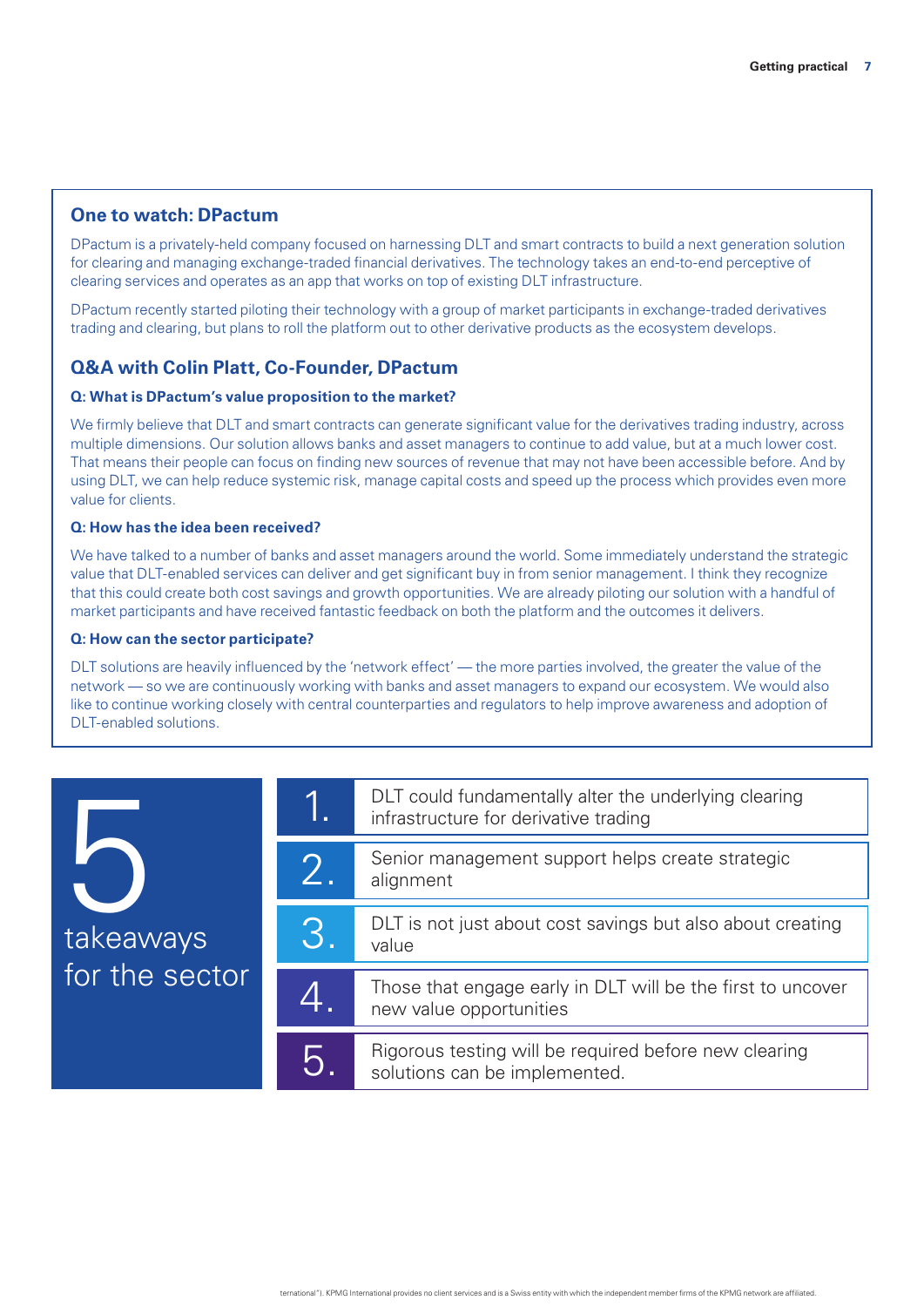# **One to watch: DPactum**

DPactum is a privately-held company focused on harnessing DLT and smart contracts to build a next generation solution for clearing and managing exchange-traded financial derivatives. The technology takes an end-to-end perceptive of clearing services and operates as an app that works on top of existing DLT infrastructure.

DPactum recently started piloting their technology with a group of market participants in exchange-traded derivatives trading and clearing, but plans to roll the platform out to other derivative products as the ecosystem develops.

# **Q&A with Colin Platt, Co-Founder, DPactum**

#### **Q: What is DPactum's value proposition to the market?**

We firmly believe that DLT and smart contracts can generate significant value for the derivatives trading industry, across multiple dimensions. Our solution allows banks and asset managers to continue to add value, but at a much lower cost. That means their people can focus on finding new sources of revenue that may not have been accessible before. And by using DLT, we can help reduce systemic risk, manage capital costs and speed up the process which provides even more value for clients.

#### **Q: How has the idea been received?**

We have talked to a number of banks and asset managers around the world. Some immediately understand the strategic value that DLT-enabled services can deliver and get significant buy in from senior management. I think they recognize that this could create both cost savings and growth opportunities. We are already piloting our solution with a handful of market participants and have received fantastic feedback on both the platform and the outcomes it delivers.

#### **Q: How can the sector participate?**

DLT solutions are heavily influenced by the 'network effect' — the more parties involved, the greater the value of the network — so we are continuously working with banks and asset managers to expand our ecosystem. We would also like to continue working closely with central counterparties and regulators to help improve awareness and adoption of DLT-enabled solutions.

takeaways for the sector

|                 | DLT could fundamentally alter the underlying clearing<br>infrastructure for derivative trading |
|-----------------|------------------------------------------------------------------------------------------------|
| $\mathcal{V}_1$ | Senior management support helps create strategic<br>alignment                                  |
| [3]             | DLT is not just about cost savings but also about creating<br>value                            |
|                 | Those that engage early in DLT will be the first to uncover<br>new value opportunities         |
| $\blacklozenge$ | Rigorous testing will be required before new clearing<br>solutions can be implemented.         |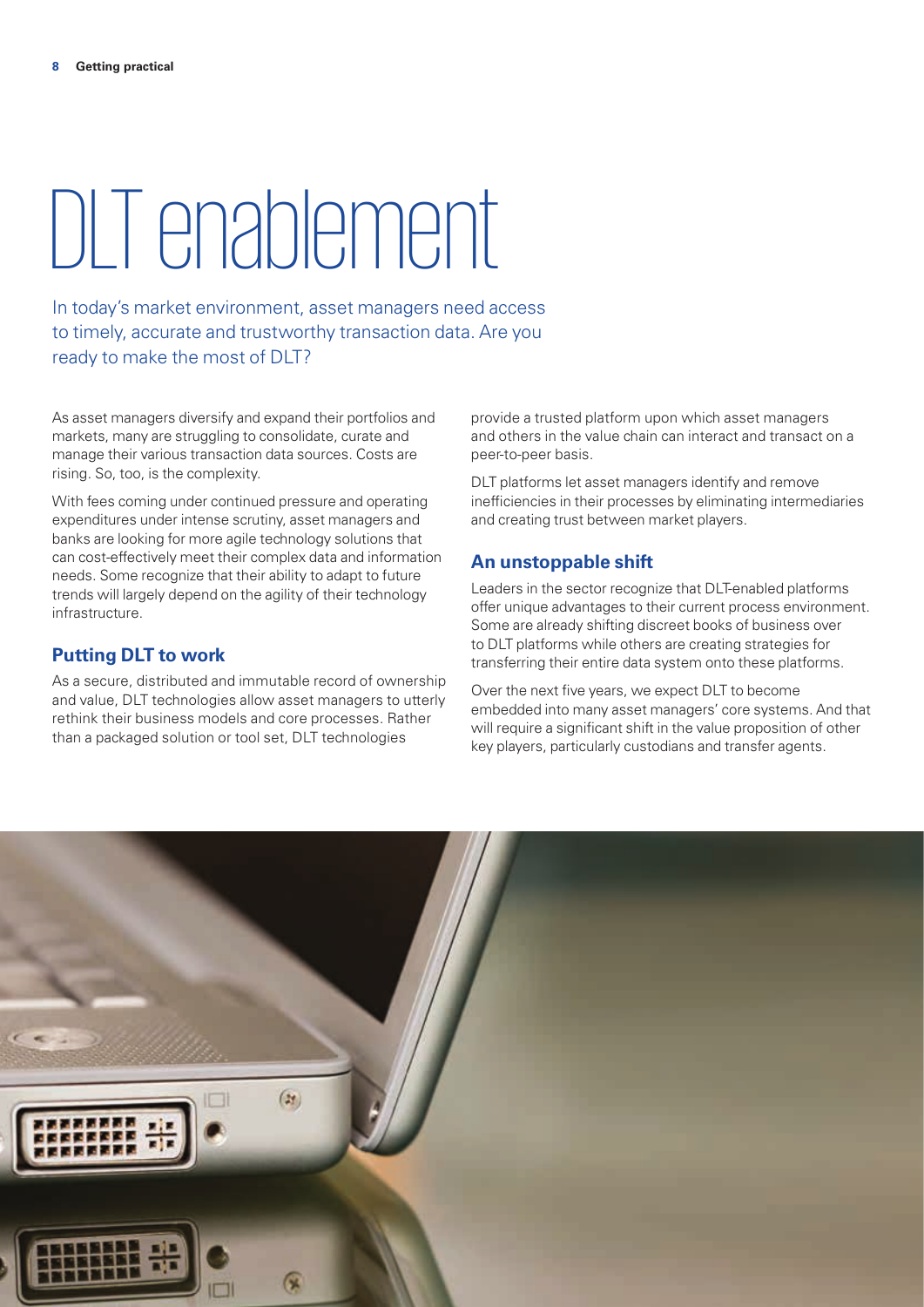# DLT enablement

In today's market environment, asset managers need access to timely, accurate and trustworthy transaction data. Are you ready to make the most of DLT?

As asset managers diversify and expand their portfolios and markets, many are struggling to consolidate, curate and manage their various transaction data sources. Costs are rising. So, too, is the complexity.

With fees coming under continued pressure and operating expenditures under intense scrutiny, asset managers and banks are looking for more agile technology solutions that can cost-effectively meet their complex data and information needs. Some recognize that their ability to adapt to future trends will largely depend on the agility of their technology infrastructure.

#### **Putting DLT to work**

As a secure, distributed and immutable record of ownership and value, DLT technologies allow asset managers to utterly rethink their business models and core processes. Rather than a packaged solution or tool set, DLT technologies

provide a trusted platform upon which asset managers and others in the value chain can interact and transact on a peer-to-peer basis.

DLT platforms let asset managers identify and remove inefficiencies in their processes by eliminating intermediaries and creating trust between market players.

#### **An unstoppable shift**

Leaders in the sector recognize that DLT-enabled platforms offer unique advantages to their current process environment. Some are already shifting discreet books of business over to DLT platforms while others are creating strategies for transferring their entire data system onto these platforms.

Over the next five years, we expect DLT to become embedded into many asset managers' core systems. And that will require a significant shift in the value proposition of other key players, particularly custodians and transfer agents.

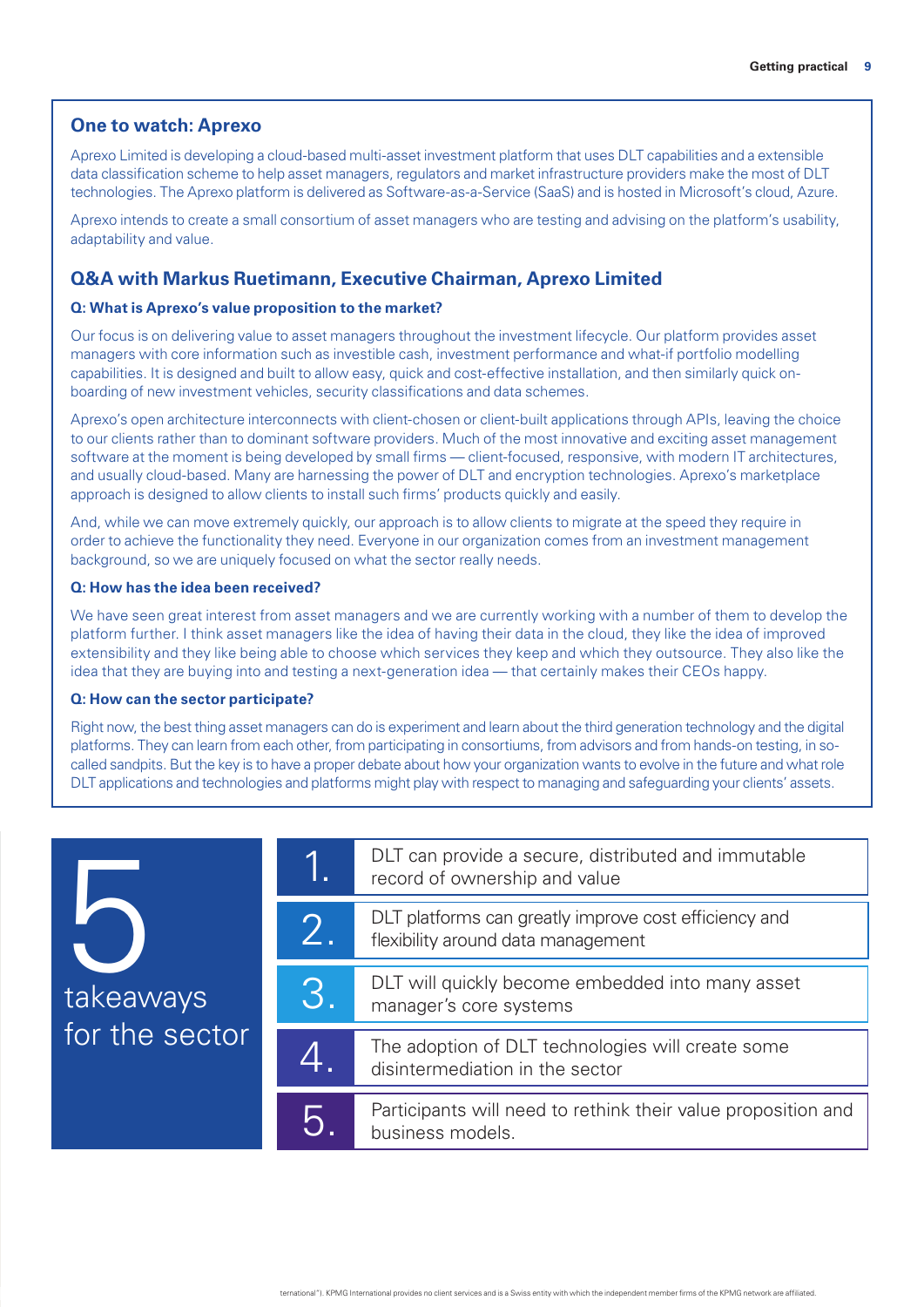#### **One to watch: Aprexo**

Aprexo Limited is developing a cloud-based multi-asset investment platform that uses DLT capabilities and a extensible data classification scheme to help asset managers, regulators and market infrastructure providers make the most of DLT technologies. The Aprexo platform is delivered as Software-as-a-Service (SaaS) and is hosted in Microsoft's cloud, Azure.

Aprexo intends to create a small consortium of asset managers who are testing and advising on the platform's usability, adaptability and value.

#### **Q&A with Markus Ruetimann, Executive Chairman, Aprexo Limited**

#### **Q: What is Aprexo's value proposition to the market?**

Our focus is on delivering value to asset managers throughout the investment lifecycle. Our platform provides asset managers with core information such as investible cash, investment performance and what-if portfolio modelling capabilities. It is designed and built to allow easy, quick and cost-effective installation, and then similarly quick onboarding of new investment vehicles, security classifications and data schemes.

Aprexo's open architecture interconnects with client-chosen or client-built applications through APIs, leaving the choice to our clients rather than to dominant software providers. Much of the most innovative and exciting asset management software at the moment is being developed by small firms — client-focused, responsive, with modern IT architectures, and usually cloud-based. Many are harnessing the power of DLT and encryption technologies. Aprexo's marketplace approach is designed to allow clients to install such firms' products quickly and easily.

And, while we can move extremely quickly, our approach is to allow clients to migrate at the speed they require in order to achieve the functionality they need. Everyone in our organization comes from an investment management background, so we are uniquely focused on what the sector really needs.

#### **Q: How has the idea been received?**

We have seen great interest from asset managers and we are currently working with a number of them to develop the platform further. I think asset managers like the idea of having their data in the cloud, they like the idea of improved extensibility and they like being able to choose which services they keep and which they outsource. They also like the idea that they are buying into and testing a next-generation idea — that certainly makes their CEOs happy.

#### **Q: How can the sector participate?**

Right now, the best thing asset managers can do is experiment and learn about the third generation technology and the digital platforms. They can learn from each other, from participating in consortiums, from advisors and from hands-on testing, in socalled sandpits. But the key is to have a proper debate about how your organization wants to evolve in the future and what role DLT applications and technologies and platforms might play with respect to managing and safeguarding your clients' assets.

**12**<br>takeaways for the sector

| DLT can provide a secure, distributed and immutable<br>record of ownership and value        |
|---------------------------------------------------------------------------------------------|
| DLT platforms can greatly improve cost efficiency and<br>flexibility around data management |
| DLT will quickly become embedded into many asset<br>manager's core systems                  |
| The adoption of DLT technologies will create some<br>disintermediation in the sector        |
| Participants will need to rethink their value proposition and<br>business models.           |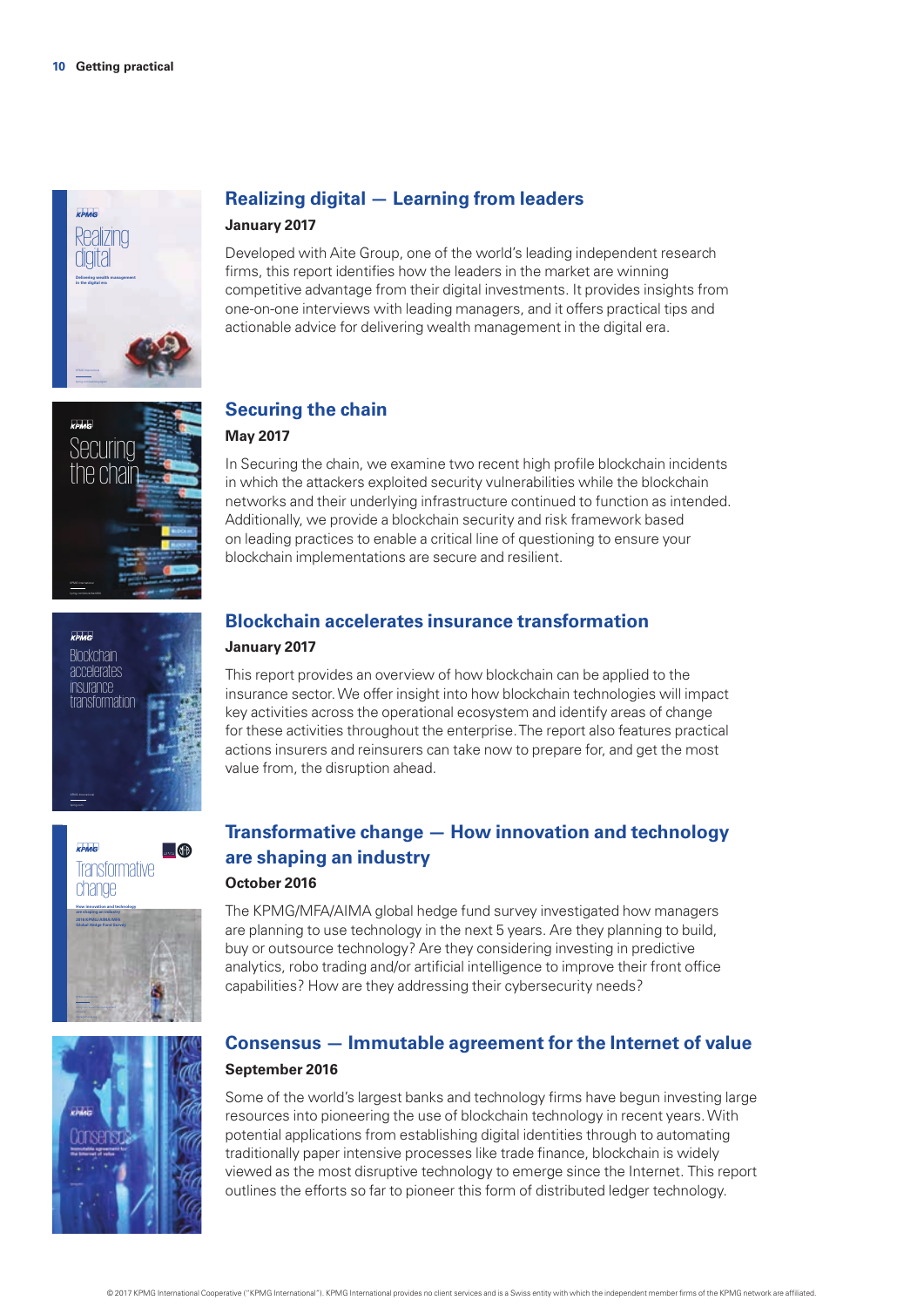

# **[Realizing digital — Learning from leaders](https://home.kpmg.com/xx/en/home/insights/2017/01/learning-from-leaders-fs.html)**

#### **January 2017**

Developed with Aite Group, one of the world's leading independent research firms, this report identifies how the leaders in the market are winning competitive advantage from their digital investments. It provides insights from one-on-one interviews with leading managers, and it offers practical tips and actionable advice for delivering wealth management in the digital era.



### **[Securing the chain](https://home.kpmg.com/xx/en/home/insights/2017/05/securing-the-blockchain-fs.html)**

### **May 2017**

In Securing the chain, we examine two recent high profile blockchain incidents in which the attackers exploited security vulnerabilities while the blockchain networks and their underlying infrastructure continued to function as intended. Additionally, we provide a blockchain security and risk framework based on leading practices to enable a critical line of questioning to ensure your blockchain implementations are secure and resilient.



#### **[Blockchain accelerates insurance transformation](https://home.kpmg.com/xx/en/home/insights/2017/01/blockchain-accelerates-insurance-transformation-fs.html)**

#### **January 2017**

This report provides an overview of how blockchain can be applied to the insurance sector. We offer insight into how blockchain technologies will impact key activities across the operational ecosystem and identify areas of change for these activities throughout the enterprise. The report also features practical actions insurers and reinsurers can take now to prepare for, and get the most value from, the disruption ahead.

#### $v_{DABC}$ AIMA CFD [Transformative](https://home.kpmg.com/xx/en/home/insights/2016/10/transformative-change-fs.html)  change





### **[Transformative change — How innovation and technology](https://home.kpmg.com/xx/en/home/insights/2016/10/transformative-change-fs.html)  [are shaping an industry](https://home.kpmg.com/xx/en/home/insights/2016/10/transformative-change-fs.html) October 2016**

The KPMG/MFA/AIMA global hedge fund survey investigated how managers are planning to use technology in the next 5 years. Are they planning to build, buy or outsource technology? Are they considering investing in predictive analytics, robo trading and/or artificial intelligence to improve their front office capabilities? How are they addressing their cybersecurity needs?

# **[Consensus — Immutable agreement for the Internet of value](https://home.kpmg.com/cn/en/home/insights/2016/09/blockchain-consensus.html) September 2016**

Some of the world's largest banks and technology firms have begun investing large resources into pioneering the use of blockchain technology in recent years. With potential applications from establishing digital identities through to automating traditionally paper intensive processes like trade finance, blockchain is widely viewed as the most disruptive technology to emerge since the Internet. This report outlines the efforts so far to pioneer this form of distributed ledger technology.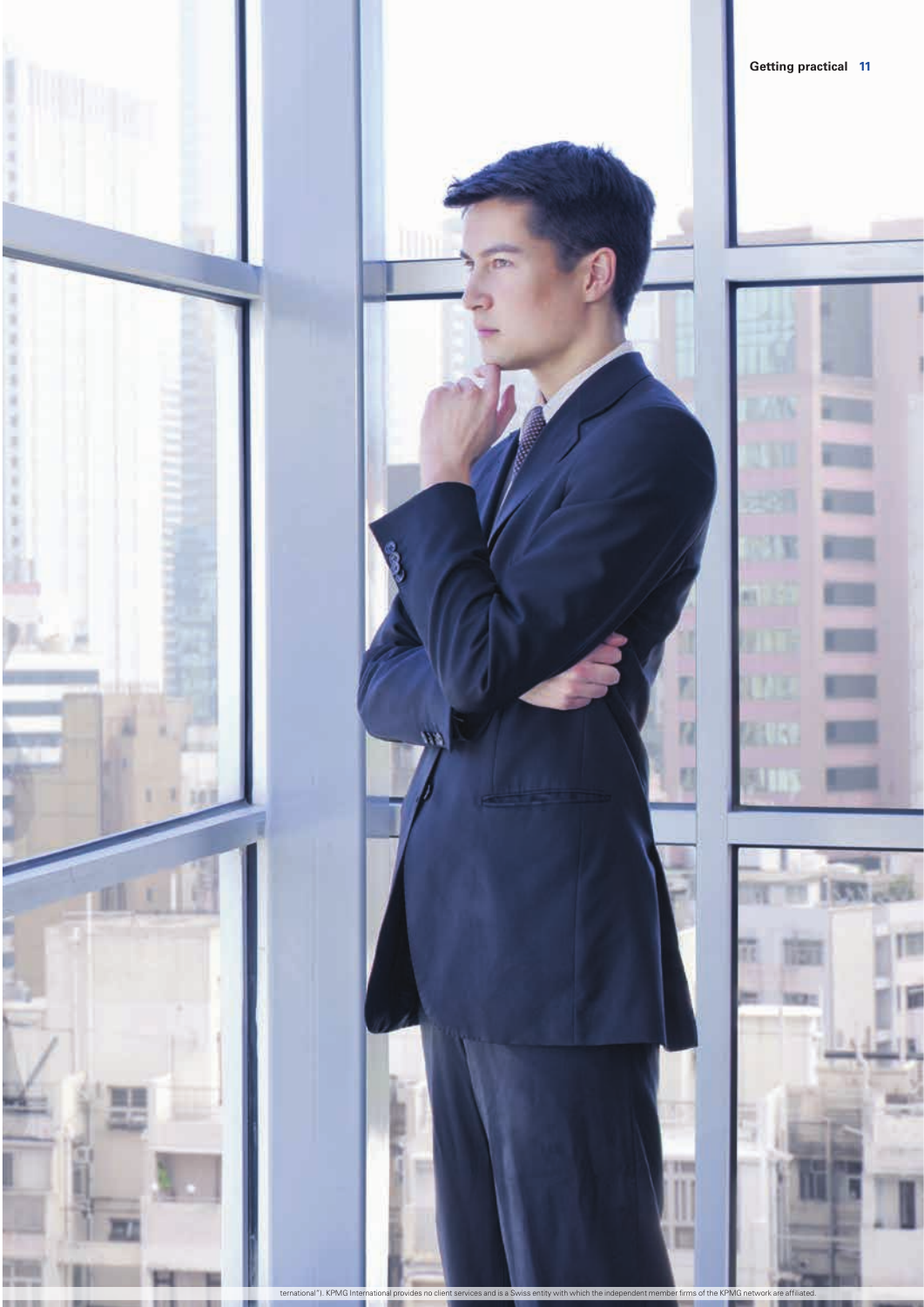